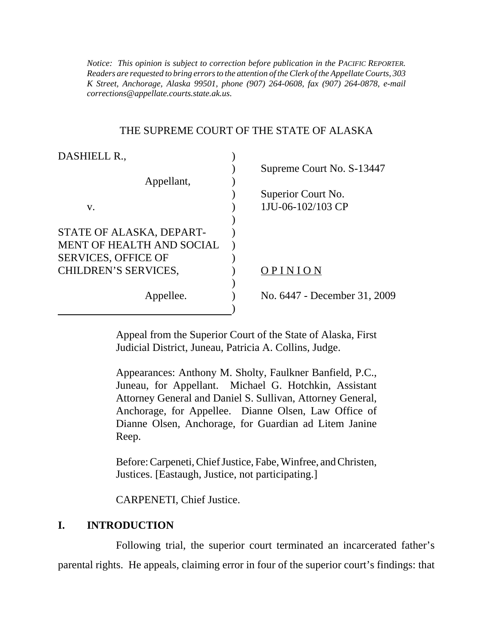*K Street, Anchorage, Alaska 99501, phone (907) 264-0608, fax (907) 264-0878, e-mail Notice: This opinion is subject to correction before publication in the PACIFIC REPORTER. Readers are requested to bring errors to the attention of the Clerk of the Appellate Courts, 303 corrections@appellate.courts.state.ak.us*.

#### THE SUPREME COURT OF THE STATE OF ALASKA

| DASHIELL R.,                |                              |
|-----------------------------|------------------------------|
|                             | Supreme Court No. S-13447    |
| Appellant,                  |                              |
|                             | Superior Court No.           |
| V.                          | 1JU-06-102/103 CP            |
|                             |                              |
| STATE OF ALASKA, DEPART-    |                              |
| MENT OF HEALTH AND SOCIAL   |                              |
| <b>SERVICES, OFFICE OF</b>  |                              |
| <b>CHILDREN'S SERVICES,</b> | OPINION                      |
|                             |                              |
| Appellee.                   | No. 6447 - December 31, 2009 |
|                             |                              |

Appeal from the Superior Court of the State of Alaska, First Judicial District, Juneau, Patricia A. Collins, Judge.

Appearances: Anthony M. Sholty, Faulkner Banfield, P.C., Juneau, for Appellant. Michael G. Hotchkin, Assistant Attorney General and Daniel S. Sullivan, Attorney General, Anchorage, for Appellee. Dianne Olsen, Law Office of Dianne Olsen, Anchorage, for Guardian ad Litem Janine Reep.

Before: Carpeneti, Chief Justice, Fabe, Winfree, and Christen, Justices. [Eastaugh, Justice, not participating.]

CARPENETI, Chief Justice.

## **I. INTRODUCTION**

Following trial, the superior court terminated an incarcerated father's parental rights. He appeals, claiming error in four of the superior court's findings: that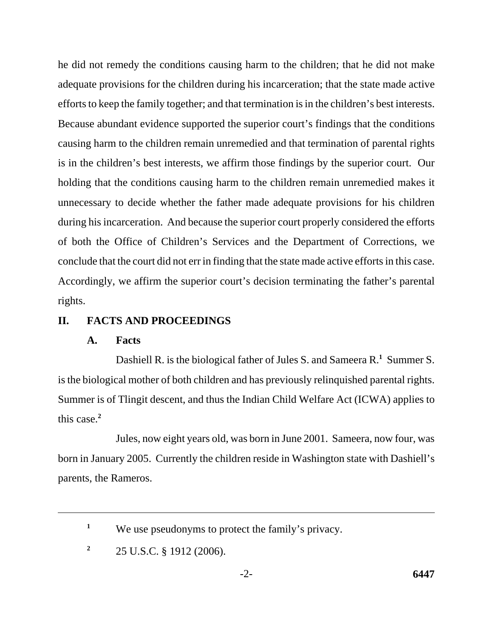he did not remedy the conditions causing harm to the children; that he did not make adequate provisions for the children during his incarceration; that the state made active efforts to keep the family together; and that termination is in the children's best interests. Because abundant evidence supported the superior court's findings that the conditions causing harm to the children remain unremedied and that termination of parental rights is in the children's best interests, we affirm those findings by the superior court. Our holding that the conditions causing harm to the children remain unremedied makes it unnecessary to decide whether the father made adequate provisions for his children during his incarceration. And because the superior court properly considered the efforts of both the Office of Children's Services and the Department of Corrections, we conclude that the court did not err in finding that the state made active efforts in this case. Accordingly, we affirm the superior court's decision terminating the father's parental rights.

### **II. FACTS AND PROCEEDINGS**

#### **A. Facts**

Dashiell R. is the biological father of Jules S. and Sameera R.**<sup>1</sup>** Summer S. is the biological mother of both children and has previously relinquished parental rights. Summer is of Tlingit descent, and thus the Indian Child Welfare Act (ICWA) applies to this case.**<sup>2</sup>**

Jules, now eight years old, was born in June 2001. Sameera, now four, was born in January 2005. Currently the children reside in Washington state with Dashiell's parents, the Rameros.

<sup>&</sup>lt;sup>1</sup> We use pseudonyms to protect the family's privacy.

<sup>&</sup>lt;sup>2</sup> 25 U.S.C. § 1912 (2006).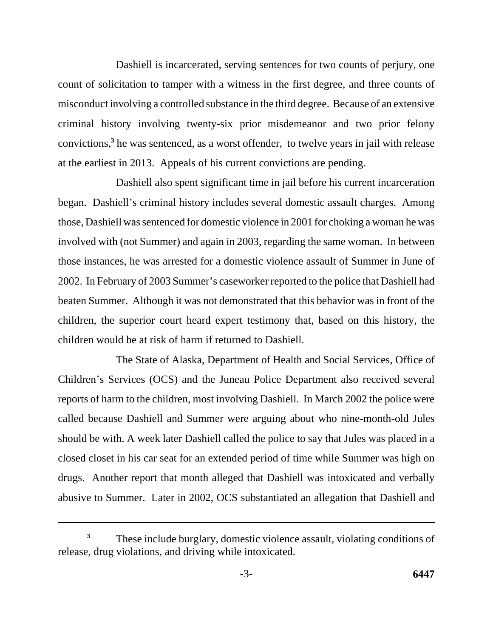Dashiell is incarcerated, serving sentences for two counts of perjury, one count of solicitation to tamper with a witness in the first degree, and three counts of misconduct involving a controlled substance in the third degree. Because of an extensive criminal history involving twenty-six prior misdemeanor and two prior felony convictions,**<sup>3</sup>** he was sentenced, as a worst offender, to twelve years in jail with release at the earliest in 2013. Appeals of his current convictions are pending.

Dashiell also spent significant time in jail before his current incarceration began. Dashiell's criminal history includes several domestic assault charges. Among those, Dashiell was sentenced for domestic violence in 2001 for choking a woman he was involved with (not Summer) and again in 2003, regarding the same woman. In between those instances, he was arrested for a domestic violence assault of Summer in June of 2002. In February of 2003 Summer's caseworker reported to the police that Dashiell had beaten Summer. Although it was not demonstrated that this behavior was in front of the children, the superior court heard expert testimony that, based on this history, the children would be at risk of harm if returned to Dashiell.

The State of Alaska, Department of Health and Social Services, Office of Children's Services (OCS) and the Juneau Police Department also received several reports of harm to the children, most involving Dashiell. In March 2002 the police were called because Dashiell and Summer were arguing about who nine-month-old Jules should be with. A week later Dashiell called the police to say that Jules was placed in a closed closet in his car seat for an extended period of time while Summer was high on drugs. Another report that month alleged that Dashiell was intoxicated and verbally abusive to Summer. Later in 2002, OCS substantiated an allegation that Dashiell and

These include burglary, domestic violence assault, violating conditions of release, drug violations, and driving while intoxicated. **3**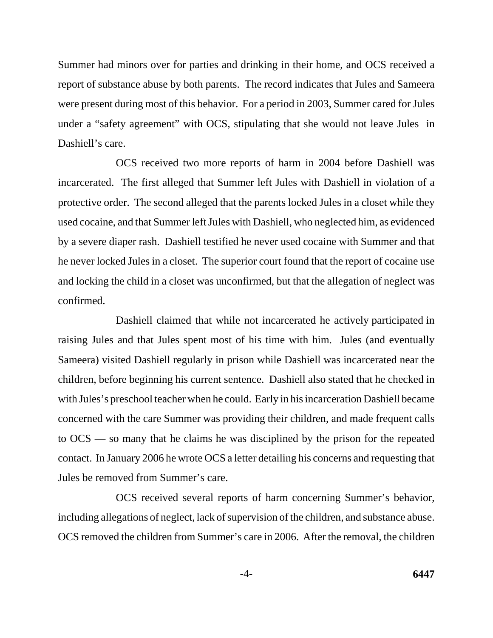Summer had minors over for parties and drinking in their home, and OCS received a report of substance abuse by both parents. The record indicates that Jules and Sameera were present during most of this behavior. For a period in 2003, Summer cared for Jules under a "safety agreement" with OCS, stipulating that she would not leave Jules in Dashiell's care.

OCS received two more reports of harm in 2004 before Dashiell was incarcerated. The first alleged that Summer left Jules with Dashiell in violation of a protective order. The second alleged that the parents locked Jules in a closet while they used cocaine, and that Summer left Jules with Dashiell, who neglected him, as evidenced by a severe diaper rash. Dashiell testified he never used cocaine with Summer and that he never locked Jules in a closet. The superior court found that the report of cocaine use and locking the child in a closet was unconfirmed, but that the allegation of neglect was confirmed.

Dashiell claimed that while not incarcerated he actively participated in raising Jules and that Jules spent most of his time with him. Jules (and eventually Sameera) visited Dashiell regularly in prison while Dashiell was incarcerated near the children, before beginning his current sentence. Dashiell also stated that he checked in with Jules's preschool teacher when he could. Early in his incarceration Dashiell became concerned with the care Summer was providing their children, and made frequent calls to OCS — so many that he claims he was disciplined by the prison for the repeated contact. In January 2006 he wrote OCS a letter detailing his concerns and requesting that Jules be removed from Summer's care.

OCS received several reports of harm concerning Summer's behavior, including allegations of neglect, lack of supervision of the children, and substance abuse. OCS removed the children from Summer's care in 2006. After the removal, the children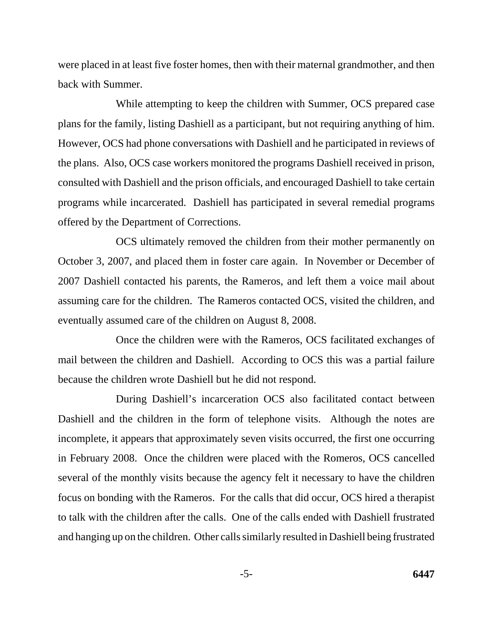were placed in at least five foster homes, then with their maternal grandmother, and then back with Summer.

While attempting to keep the children with Summer, OCS prepared case plans for the family, listing Dashiell as a participant, but not requiring anything of him. However, OCS had phone conversations with Dashiell and he participated in reviews of the plans. Also, OCS case workers monitored the programs Dashiell received in prison, consulted with Dashiell and the prison officials, and encouraged Dashiell to take certain programs while incarcerated. Dashiell has participated in several remedial programs offered by the Department of Corrections.

OCS ultimately removed the children from their mother permanently on October 3, 2007, and placed them in foster care again. In November or December of 2007 Dashiell contacted his parents, the Rameros, and left them a voice mail about assuming care for the children. The Rameros contacted OCS, visited the children, and eventually assumed care of the children on August 8, 2008.

Once the children were with the Rameros, OCS facilitated exchanges of mail between the children and Dashiell. According to OCS this was a partial failure because the children wrote Dashiell but he did not respond.

During Dashiell's incarceration OCS also facilitated contact between Dashiell and the children in the form of telephone visits. Although the notes are incomplete, it appears that approximately seven visits occurred, the first one occurring in February 2008. Once the children were placed with the Romeros, OCS cancelled several of the monthly visits because the agency felt it necessary to have the children focus on bonding with the Rameros. For the calls that did occur, OCS hired a therapist to talk with the children after the calls. One of the calls ended with Dashiell frustrated and hanging up on the children. Other calls similarly resulted in Dashiell being frustrated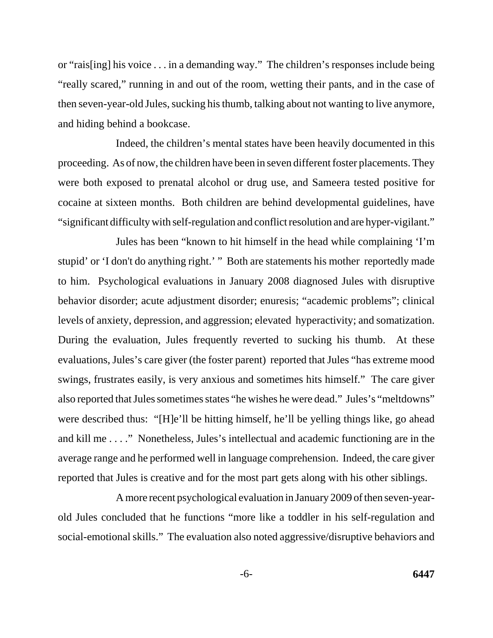or "rais[ing] his voice . . . in a demanding way." The children's responses include being "really scared," running in and out of the room, wetting their pants, and in the case of then seven-year-old Jules, sucking his thumb, talking about not wanting to live anymore, and hiding behind a bookcase.

Indeed, the children's mental states have been heavily documented in this proceeding. As of now, the children have been in seven different foster placements. They were both exposed to prenatal alcohol or drug use, and Sameera tested positive for cocaine at sixteen months. Both children are behind developmental guidelines, have "significant difficulty with self-regulation and conflict resolution and are hyper-vigilant."

Jules has been "known to hit himself in the head while complaining 'I'm stupid' or 'I don't do anything right.' " Both are statements his mother reportedly made to him. Psychological evaluations in January 2008 diagnosed Jules with disruptive behavior disorder; acute adjustment disorder; enuresis; "academic problems"; clinical levels of anxiety, depression, and aggression; elevated hyperactivity; and somatization. During the evaluation, Jules frequently reverted to sucking his thumb. At these evaluations, Jules's care giver (the foster parent) reported that Jules "has extreme mood swings, frustrates easily, is very anxious and sometimes hits himself." The care giver also reported that Jules sometimes states "he wishes he were dead." Jules's "meltdowns" were described thus: "[H]e'll be hitting himself, he'll be yelling things like, go ahead and kill me . . . ." Nonetheless, Jules's intellectual and academic functioning are in the average range and he performed well in language comprehension. Indeed, the care giver reported that Jules is creative and for the most part gets along with his other siblings.

A more recent psychological evaluation in January 2009 of then seven-yearold Jules concluded that he functions "more like a toddler in his self-regulation and social-emotional skills." The evaluation also noted aggressive/disruptive behaviors and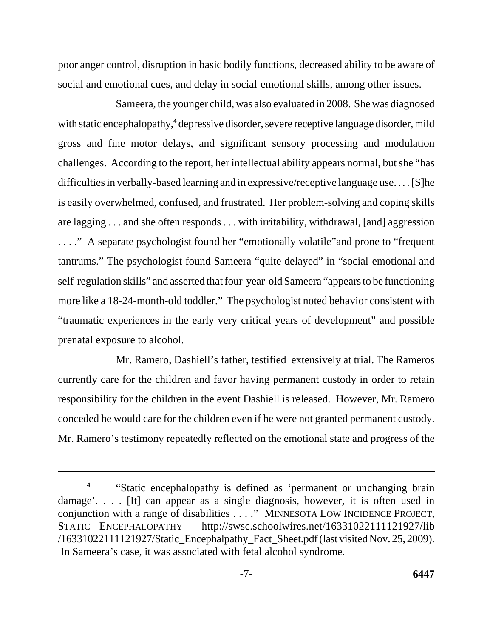poor anger control, disruption in basic bodily functions, decreased ability to be aware of social and emotional cues, and delay in social-emotional skills, among other issues.

Sameera, the younger child, was also evaluated in 2008. She was diagnosed with static encephalopathy,<sup>4</sup> depressive disorder, severe receptive language disorder, mild gross and fine motor delays, and significant sensory processing and modulation challenges. According to the report, her intellectual ability appears normal, but she "has difficulties in verbally-based learning and in expressive/receptive language use. . . . [S]he is easily overwhelmed, confused, and frustrated. Her problem-solving and coping skills are lagging . . . and she often responds . . . with irritability, withdrawal, [and] aggression . . . ." A separate psychologist found her "emotionally volatile"and prone to "frequent tantrums." The psychologist found Sameera "quite delayed" in "social-emotional and self-regulation skills" and asserted that four-year-old Sameera "appears to be functioning more like a 18-24-month-old toddler." The psychologist noted behavior consistent with "traumatic experiences in the early very critical years of development" and possible prenatal exposure to alcohol.

Mr. Ramero, Dashiell's father, testified extensively at trial. The Rameros currently care for the children and favor having permanent custody in order to retain responsibility for the children in the event Dashiell is released. However, Mr. Ramero conceded he would care for the children even if he were not granted permanent custody. Mr. Ramero's testimony repeatedly reflected on the emotional state and progress of the

<sup>&</sup>lt;sup>4</sup> "Static encephalopathy is defined as 'permanent or unchanging brain damage'. . . . [It] can appear as a single diagnosis, however, it is often used in conjunction with a range of disabilities . . . ." MINNESOTA LOW INCIDENCE PROJECT, STATIC ENCEPHALOPATHY http://swsc.schoolwires.net/16331022111121927/lib /16331022111121927/Static\_Encephalpathy\_Fact\_Sheet.pdf (last visited Nov. 25, 2009). In Sameera's case, it was associated with fetal alcohol syndrome.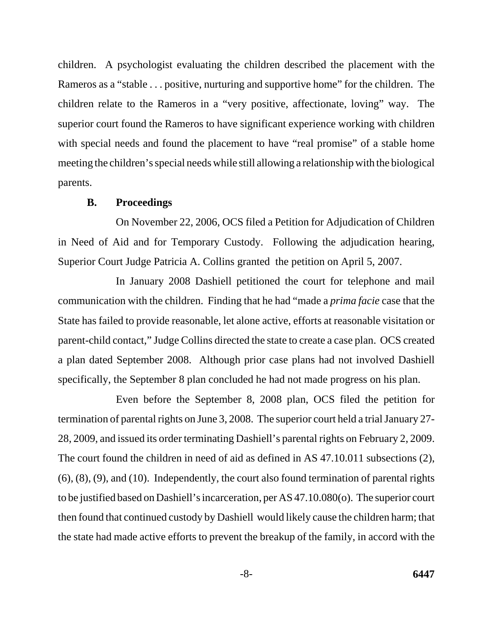children. A psychologist evaluating the children described the placement with the Rameros as a "stable . . . positive, nurturing and supportive home" for the children. The children relate to the Rameros in a "very positive, affectionate, loving" way. The superior court found the Rameros to have significant experience working with children with special needs and found the placement to have "real promise" of a stable home meeting the children's special needs while still allowing a relationship with the biological parents.

#### **B. Proceedings**

On November 22, 2006, OCS filed a Petition for Adjudication of Children in Need of Aid and for Temporary Custody. Following the adjudication hearing, Superior Court Judge Patricia A. Collins granted the petition on April 5, 2007.

In January 2008 Dashiell petitioned the court for telephone and mail communication with the children. Finding that he had "made a *prima facie* case that the State has failed to provide reasonable, let alone active, efforts at reasonable visitation or parent-child contact," Judge Collins directed the state to create a case plan. OCS created a plan dated September 2008. Although prior case plans had not involved Dashiell specifically, the September 8 plan concluded he had not made progress on his plan.

Even before the September 8, 2008 plan, OCS filed the petition for termination of parental rights on June 3, 2008. The superior court held a trial January 27- 28, 2009, and issued its order terminating Dashiell's parental rights on February 2, 2009. The court found the children in need of aid as defined in AS 47.10.011 subsections (2), (6), (8), (9), and (10). Independently, the court also found termination of parental rights to be justified based on Dashiell's incarceration, per AS 47.10.080(o). The superior court then found that continued custody by Dashiell would likely cause the children harm; that the state had made active efforts to prevent the breakup of the family, in accord with the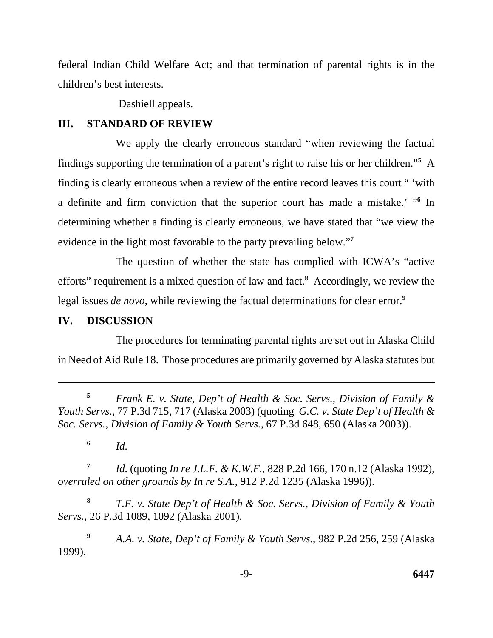federal Indian Child Welfare Act; and that termination of parental rights is in the children's best interests.

Dashiell appeals.

## **III. STANDARD OF REVIEW**

We apply the clearly erroneous standard "when reviewing the factual findings supporting the termination of a parent's right to raise his or her children."**<sup>5</sup>** A finding is clearly erroneous when a review of the entire record leaves this court " 'with a definite and firm conviction that the superior court has made a mistake.' "**<sup>6</sup>** In determining whether a finding is clearly erroneous, we have stated that "we view the evidence in the light most favorable to the party prevailing below."**<sup>7</sup>**

The question of whether the state has complied with ICWA's "active efforts" requirement is a mixed question of law and fact.**<sup>8</sup>** Accordingly, we review the legal issues *de novo*, while reviewing the factual determinations for clear error.**<sup>9</sup>**

## **IV. DISCUSSION**

The procedures for terminating parental rights are set out in Alaska Child in Need of Aid Rule 18. Those procedures are primarily governed by Alaska statutes but

**<sup>5</sup>***Frank E. v. State, Dep't of Health & Soc. Servs., Division of Family & Youth Servs.*, 77 P.3d 715, 717 (Alaska 2003) (quoting *G.C. v. State Dep't of Health & Soc. Servs., Division of Family & Youth Servs.*, 67 P.3d 648, 650 (Alaska 2003)).

**<sup>6</sup>***Id.* 

**<sup>7</sup>***Id.* (quoting *In re J.L.F. & K.W.F.*, 828 P.2d 166, 170 n.12 (Alaska 1992), *overruled on other grounds by In re S.A.*, 912 P.2d 1235 (Alaska 1996)).

**<sup>8</sup>***T.F. v. State Dep't of Health & Soc. Servs., Division of Family & Youth Servs.*, 26 P.3d 1089, 1092 (Alaska 2001).

**<sup>9</sup>***A.A. v. State, Dep't of Family & Youth Servs.*, 982 P.2d 256, 259 (Alaska 1999).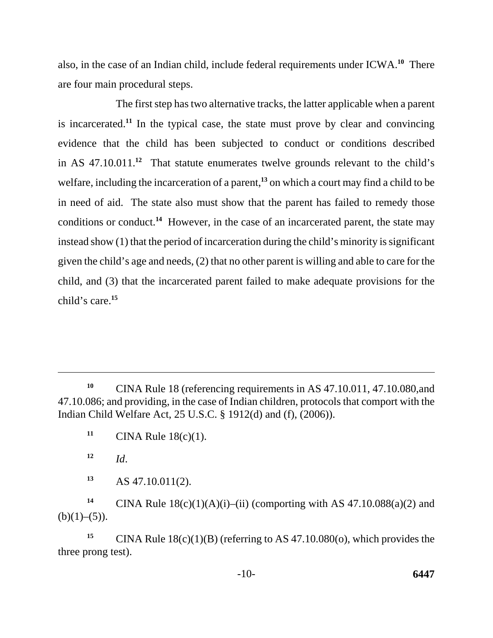also, in the case of an Indian child, include federal requirements under ICWA.**<sup>10</sup>** There are four main procedural steps.

The first step has two alternative tracks, the latter applicable when a parent is incarcerated.**<sup>11</sup>** In the typical case, the state must prove by clear and convincing evidence that the child has been subjected to conduct or conditions described in AS 47.10.011.**<sup>12</sup>** That statute enumerates twelve grounds relevant to the child's welfare, including the incarceration of a parent,**<sup>13</sup>** on which a court may find a child to be in need of aid. The state also must show that the parent has failed to remedy those conditions or conduct.**<sup>14</sup>** However, in the case of an incarcerated parent, the state may instead show (1) that the period of incarceration during the child's minority is significant given the child's age and needs, (2) that no other parent is willing and able to care for the child, and (3) that the incarcerated parent failed to make adequate provisions for the child's care.**<sup>15</sup>**

**<sup>13</sup>**AS 47.10.011(2).

<sup>14</sup> CINA Rule  $18(c)(1)(A)(i)$ –(ii) (comporting with AS 47.10.088(a)(2) and  $(b)(1)–(5)$ ).

<sup>15</sup>CINA Rule  $18(c)(1)(B)$  (referring to AS 47.10.080(o), which provides the three prong test).

<sup>&</sup>lt;sup>10</sup> CINA Rule 18 (referencing requirements in AS 47.10.011, 47.10.080, and 47.10.086; and providing, in the case of Indian children, protocols that comport with the Indian Child Welfare Act, 25 U.S.C. § 1912(d) and (f), (2006)).

**<sup>11</sup>** CINA Rule  $18(c)(1)$ .

 $12$  *Id.*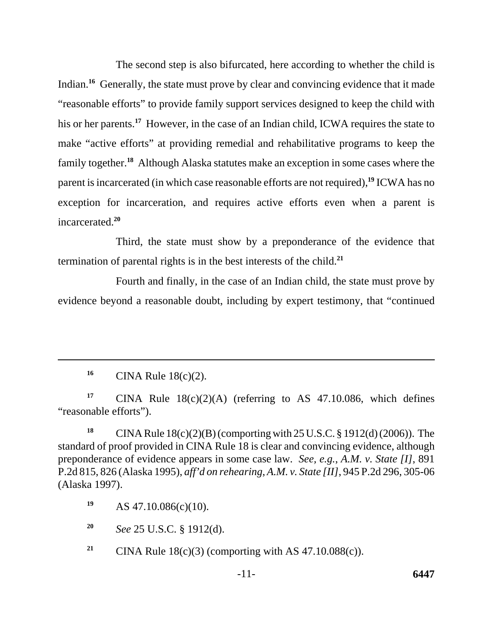The second step is also bifurcated, here according to whether the child is Indian.<sup>16</sup> Generally, the state must prove by clear and convincing evidence that it made "reasonable efforts" to provide family support services designed to keep the child with his or her parents.<sup>17</sup> However, in the case of an Indian child, ICWA requires the state to make "active efforts" at providing remedial and rehabilitative programs to keep the family together.**<sup>18</sup>** Although Alaska statutes make an exception in some cases where the parent is incarcerated (in which case reasonable efforts are not required),**<sup>19</sup>** ICWA has no exception for incarceration, and requires active efforts even when a parent is incarcerated.**<sup>20</sup>**

Third, the state must show by a preponderance of the evidence that termination of parental rights is in the best interests of the child.**<sup>21</sup>**

Fourth and finally, in the case of an Indian child, the state must prove by evidence beyond a reasonable doubt, including by expert testimony, that "continued

<sup>16</sup> CINA Rule 18(c)(2).

<sup>17</sup> CINA Rule  $18(c)(2)(A)$  (referring to AS 47.10.086, which defines "reasonable efforts").

**<sup>18</sup>**CINA Rule 18(c)(2)(B) (comporting with 25 U.S.C. § 1912(d) (2006)). The standard of proof provided in CINA Rule 18 is clear and convincing evidence, although preponderance of evidence appears in some case law. *See, e.g.*, *A.M. v. State [I]*, 891 P.2d 815, 826 (Alaska 1995), *aff'd on rehearing*, *A.M. v. State [II]*, 945 P.2d 296, 305-06 (Alaska 1997).

**<sup>19</sup>**AS 47.10.086(c)(10).

**<sup>20</sup>***See* 25 U.S.C. § 1912(d).

<sup>21</sup> CINA Rule  $18(c)(3)$  (comporting with AS 47.10.088(c)).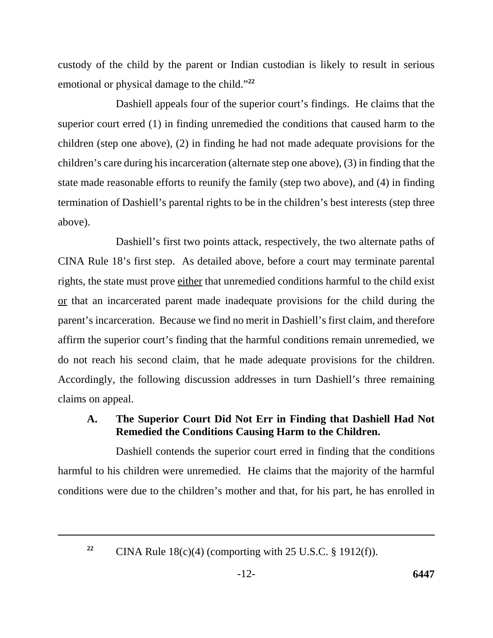custody of the child by the parent or Indian custodian is likely to result in serious emotional or physical damage to the child."**<sup>22</sup>**

Dashiell appeals four of the superior court's findings. He claims that the superior court erred (1) in finding unremedied the conditions that caused harm to the children (step one above), (2) in finding he had not made adequate provisions for the children's care during his incarceration (alternate step one above), (3) in finding that the state made reasonable efforts to reunify the family (step two above), and (4) in finding termination of Dashiell's parental rights to be in the children's best interests (step three above).

Dashiell's first two points attack, respectively, the two alternate paths of CINA Rule 18's first step. As detailed above, before a court may terminate parental rights, the state must prove either that unremedied conditions harmful to the child exist or that an incarcerated parent made inadequate provisions for the child during the parent's incarceration. Because we find no merit in Dashiell's first claim, and therefore affirm the superior court's finding that the harmful conditions remain unremedied, we do not reach his second claim, that he made adequate provisions for the children. Accordingly, the following discussion addresses in turn Dashiell's three remaining claims on appeal.

# **A. The Superior Court Did Not Err in Finding that Dashiell Had Not Remedied the Conditions Causing Harm to the Children.**

Dashiell contends the superior court erred in finding that the conditions harmful to his children were unremedied. He claims that the majority of the harmful conditions were due to the children's mother and that, for his part, he has enrolled in

**22** 

CINA Rule  $18(c)(4)$  (comporting with 25 U.S.C. § 1912(f)).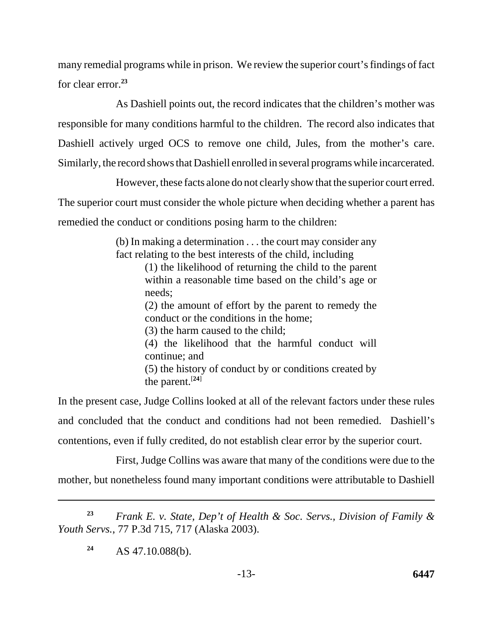many remedial programs while in prison. We review the superior court's findings of fact for clear error.**<sup>23</sup>**

As Dashiell points out, the record indicates that the children's mother was responsible for many conditions harmful to the children. The record also indicates that Dashiell actively urged OCS to remove one child, Jules, from the mother's care. Similarly, the record shows that Dashiell enrolled in several programs while incarcerated.

However, these facts alone do not clearly show that the superior court erred. The superior court must consider the whole picture when deciding whether a parent has remedied the conduct or conditions posing harm to the children:

> (b) In making a determination . . . the court may consider any fact relating to the best interests of the child, including

> > (1) the likelihood of returning the child to the parent within a reasonable time based on the child's age or needs;

> > (2) the amount of effort by the parent to remedy the conduct or the conditions in the home;

(3) the harm caused to the child;

(4) the likelihood that the harmful conduct will continue; and

(5) the history of conduct by or conditions created by the parent.[**24**]

In the present case, Judge Collins looked at all of the relevant factors under these rules and concluded that the conduct and conditions had not been remedied. Dashiell's contentions, even if fully credited, do not establish clear error by the superior court.

First, Judge Collins was aware that many of the conditions were due to the mother, but nonetheless found many important conditions were attributable to Dashiell

**<sup>23</sup>***Frank E. v. State, Dep't of Health & Soc. Servs., Division of Family & Youth Servs.*, 77 P.3d 715, 717 (Alaska 2003).

**<sup>24</sup>**AS 47.10.088(b).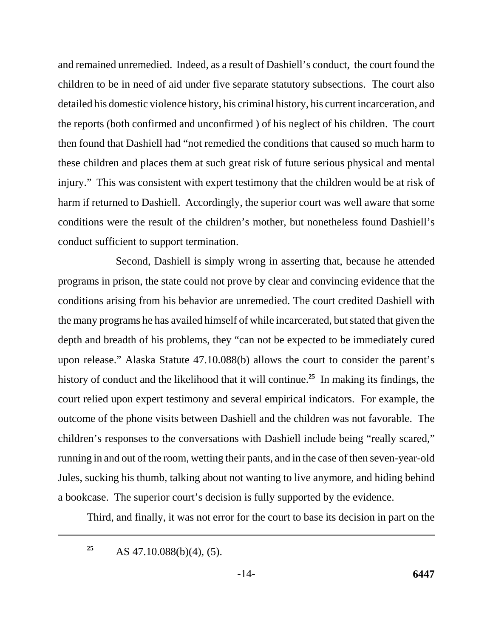and remained unremedied. Indeed, as a result of Dashiell's conduct, the court found the children to be in need of aid under five separate statutory subsections. The court also detailed his domestic violence history, his criminal history, his current incarceration, and the reports (both confirmed and unconfirmed ) of his neglect of his children. The court then found that Dashiell had "not remedied the conditions that caused so much harm to these children and places them at such great risk of future serious physical and mental injury." This was consistent with expert testimony that the children would be at risk of harm if returned to Dashiell. Accordingly, the superior court was well aware that some conditions were the result of the children's mother, but nonetheless found Dashiell's conduct sufficient to support termination.

Second, Dashiell is simply wrong in asserting that, because he attended programs in prison, the state could not prove by clear and convincing evidence that the conditions arising from his behavior are unremedied. The court credited Dashiell with the many programs he has availed himself of while incarcerated, but stated that given the depth and breadth of his problems, they "can not be expected to be immediately cured upon release." Alaska Statute 47.10.088(b) allows the court to consider the parent's history of conduct and the likelihood that it will continue.**<sup>25</sup>** In making its findings, the court relied upon expert testimony and several empirical indicators. For example, the outcome of the phone visits between Dashiell and the children was not favorable. The children's responses to the conversations with Dashiell include being "really scared," running in and out of the room, wetting their pants, and in the case of then seven-year-old Jules, sucking his thumb, talking about not wanting to live anymore, and hiding behind a bookcase. The superior court's decision is fully supported by the evidence.

Third, and finally, it was not error for the court to base its decision in part on the

AS 47.10.088(b)(4), (5). **25**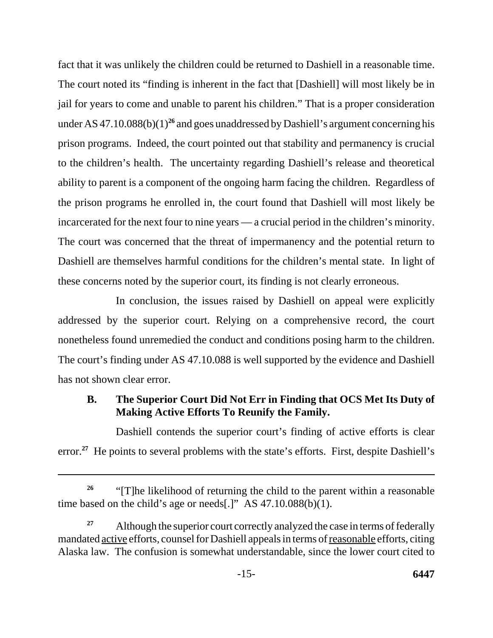fact that it was unlikely the children could be returned to Dashiell in a reasonable time. The court noted its "finding is inherent in the fact that [Dashiell] will most likely be in jail for years to come and unable to parent his children." That is a proper consideration under AS  $47.10.088(b)(1)^{26}$  and goes unaddressed by Dashiell's argument concerning his prison programs. Indeed, the court pointed out that stability and permanency is crucial to the children's health. The uncertainty regarding Dashiell's release and theoretical ability to parent is a component of the ongoing harm facing the children. Regardless of the prison programs he enrolled in, the court found that Dashiell will most likely be incarcerated for the next four to nine years — a crucial period in the children's minority. The court was concerned that the threat of impermanency and the potential return to Dashiell are themselves harmful conditions for the children's mental state. In light of these concerns noted by the superior court, its finding is not clearly erroneous.

In conclusion, the issues raised by Dashiell on appeal were explicitly addressed by the superior court. Relying on a comprehensive record, the court nonetheless found unremedied the conduct and conditions posing harm to the children. The court's finding under AS 47.10.088 is well supported by the evidence and Dashiell has not shown clear error.

# **B. The Superior Court Did Not Err in Finding that OCS Met Its Duty of Making Active Efforts To Reunify the Family.**

Dashiell contends the superior court's finding of active efforts is clear error.<sup>27</sup> He points to several problems with the state's efforts. First, despite Dashiell's

<sup>&</sup>lt;sup>26</sup> "[T]he likelihood of returning the child to the parent within a reasonable time based on the child's age or needs[.]" AS 47.10.088(b)(1).

<sup>&</sup>lt;sup>27</sup> Although the superior court correctly analyzed the case in terms of federally mandated active efforts, counsel for Dashiell appeals in terms of reasonable efforts, citing Alaska law. The confusion is somewhat understandable, since the lower court cited to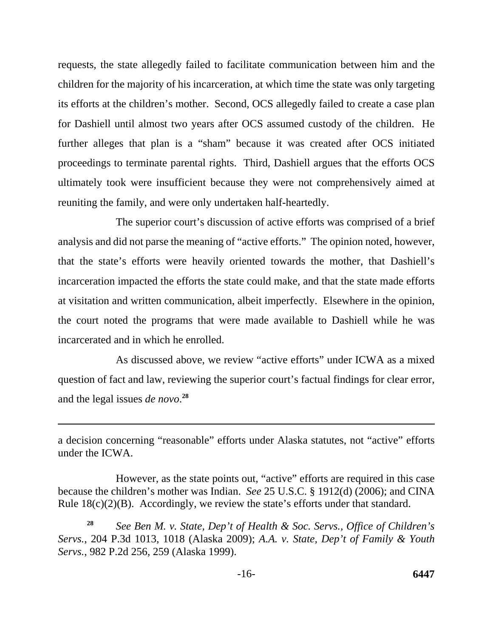requests, the state allegedly failed to facilitate communication between him and the children for the majority of his incarceration, at which time the state was only targeting its efforts at the children's mother. Second, OCS allegedly failed to create a case plan for Dashiell until almost two years after OCS assumed custody of the children. He further alleges that plan is a "sham" because it was created after OCS initiated proceedings to terminate parental rights. Third, Dashiell argues that the efforts OCS ultimately took were insufficient because they were not comprehensively aimed at reuniting the family, and were only undertaken half-heartedly.

The superior court's discussion of active efforts was comprised of a brief analysis and did not parse the meaning of "active efforts." The opinion noted, however, that the state's efforts were heavily oriented towards the mother, that Dashiell's incarceration impacted the efforts the state could make, and that the state made efforts at visitation and written communication, albeit imperfectly. Elsewhere in the opinion, the court noted the programs that were made available to Dashiell while he was incarcerated and in which he enrolled.

As discussed above, we review "active efforts" under ICWA as a mixed question of fact and law, reviewing the superior court's factual findings for clear error, and the legal issues *de novo*.<sup>28</sup>

a decision concerning "reasonable" efforts under Alaska statutes, not "active" efforts under the ICWA.

However, as the state points out, "active" efforts are required in this case because the children's mother was Indian. *See* 25 U.S.C. § 1912(d) (2006); and CINA Rule  $18(c)(2)(B)$ . Accordingly, we review the state's efforts under that standard.

**<sup>28</sup>***See Ben M. v. State, Dep't of Health & Soc. Servs., Office of Children's Servs.*, 204 P.3d 1013, 1018 (Alaska 2009); *A.A. v. State, Dep't of Family & Youth Servs.*, 982 P.2d 256, 259 (Alaska 1999).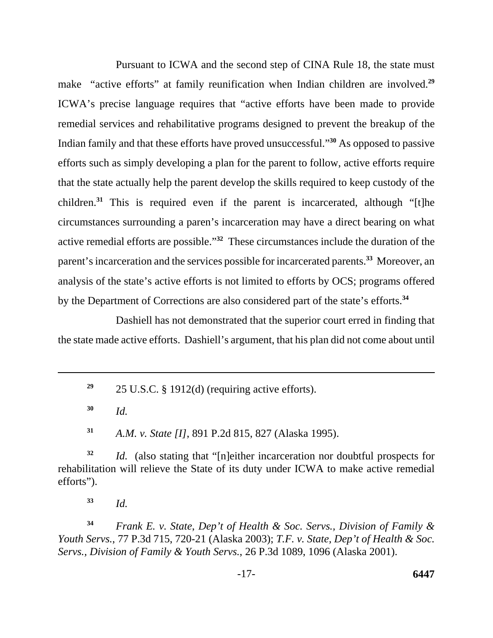Pursuant to ICWA and the second step of CINA Rule 18, the state must make "active efforts" at family reunification when Indian children are involved.<sup>29</sup> ICWA's precise language requires that "active efforts have been made to provide remedial services and rehabilitative programs designed to prevent the breakup of the Indian family and that these efforts have proved unsuccessful."**<sup>30</sup>** As opposed to passive efforts such as simply developing a plan for the parent to follow, active efforts require that the state actually help the parent develop the skills required to keep custody of the children.**<sup>31</sup>** This is required even if the parent is incarcerated, although "[t]he circumstances surrounding a paren's incarceration may have a direct bearing on what active remedial efforts are possible."**<sup>32</sup>** These circumstances include the duration of the parent's incarceration and the services possible for incarcerated parents.**<sup>33</sup>** Moreover, an analysis of the state's active efforts is not limited to efforts by OCS; programs offered by the Department of Corrections are also considered part of the state's efforts.**<sup>34</sup>**

Dashiell has not demonstrated that the superior court erred in finding that the state made active efforts. Dashiell's argument, that his plan did not come about until

**<sup>29</sup>**25 U.S.C. § 1912(d) (requiring active efforts).

**<sup>30</sup>***Id.* 

**<sup>31</sup>***A.M. v. State [I]*, 891 P.2d 815, 827 (Alaska 1995).

**<sup>32</sup>***Id.* (also stating that "[n]either incarceration nor doubtful prospects for rehabilitation will relieve the State of its duty under ICWA to make active remedial efforts").

**<sup>33</sup>***Id.* 

**<sup>34</sup>***Frank E. v. State*, *Dep't of Health & Soc. Servs., Division of Family & Youth Servs.*, 77 P.3d 715, 720-21 (Alaska 2003); *T.F. v. State, Dep't of Health & Soc. Servs., Division of Family & Youth Servs.*, 26 P.3d 1089, 1096 (Alaska 2001).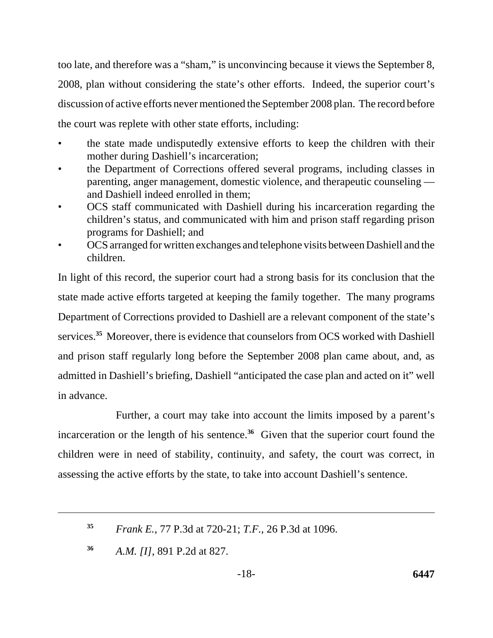too late, and therefore was a "sham," is unconvincing because it views the September 8, 2008, plan without considering the state's other efforts. Indeed, the superior court's discussion of active efforts never mentioned the September 2008 plan. The record before the court was replete with other state efforts, including:

- the state made undisputedly extensive efforts to keep the children with their mother during Dashiell's incarceration;
- the Department of Corrections offered several programs, including classes in parenting, anger management, domestic violence, and therapeutic counseling and Dashiell indeed enrolled in them;
- OCS staff communicated with Dashiell during his incarceration regarding the children's status, and communicated with him and prison staff regarding prison programs for Dashiell; and
- OCS arranged for written exchanges and telephone visits between Dashiell and the children.

In light of this record, the superior court had a strong basis for its conclusion that the state made active efforts targeted at keeping the family together. The many programs Department of Corrections provided to Dashiell are a relevant component of the state's services.**<sup>35</sup>** Moreover, there is evidence that counselors from OCS worked with Dashiell and prison staff regularly long before the September 2008 plan came about, and, as admitted in Dashiell's briefing, Dashiell "anticipated the case plan and acted on it" well in advance.

Further, a court may take into account the limits imposed by a parent's incarceration or the length of his sentence.**<sup>36</sup>** Given that the superior court found the children were in need of stability, continuity, and safety, the court was correct, in assessing the active efforts by the state, to take into account Dashiell's sentence.

**<sup>35</sup>***Frank E.*, 77 P.3d at 720-21; *T.F.*, 26 P.3d at 1096.

**<sup>36</sup>***A.M. [I]*, 891 P.2d at 827.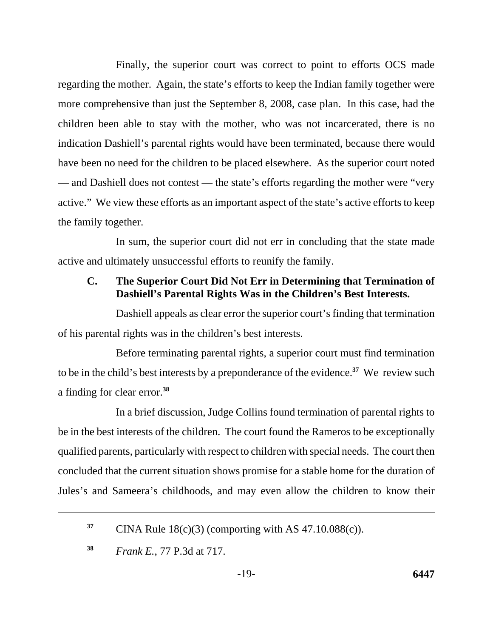Finally, the superior court was correct to point to efforts OCS made regarding the mother. Again, the state's efforts to keep the Indian family together were more comprehensive than just the September 8, 2008, case plan. In this case, had the children been able to stay with the mother, who was not incarcerated, there is no indication Dashiell's parental rights would have been terminated, because there would have been no need for the children to be placed elsewhere. As the superior court noted — and Dashiell does not contest — the state's efforts regarding the mother were "very" active." We view these efforts as an important aspect of the state's active efforts to keep the family together.

In sum, the superior court did not err in concluding that the state made active and ultimately unsuccessful efforts to reunify the family.

# **C. The Superior Court Did Not Err in Determining that Termination of Dashiell's Parental Rights Was in the Children's Best Interests.**

Dashiell appeals as clear error the superior court's finding that termination of his parental rights was in the children's best interests.

Before terminating parental rights, a superior court must find termination to be in the child's best interests by a preponderance of the evidence.**<sup>37</sup>** We review such a finding for clear error.**<sup>38</sup>**

In a brief discussion, Judge Collins found termination of parental rights to be in the best interests of the children. The court found the Rameros to be exceptionally qualified parents, particularly with respect to children with special needs. The court then concluded that the current situation shows promise for a stable home for the duration of Jules's and Sameera's childhoods, and may even allow the children to know their

<sup>&</sup>lt;sup>37</sup> CINA Rule  $18(c)(3)$  (comporting with AS 47.10.088(c)).

**<sup>38</sup>***Frank E.*, 77 P.3d at 717.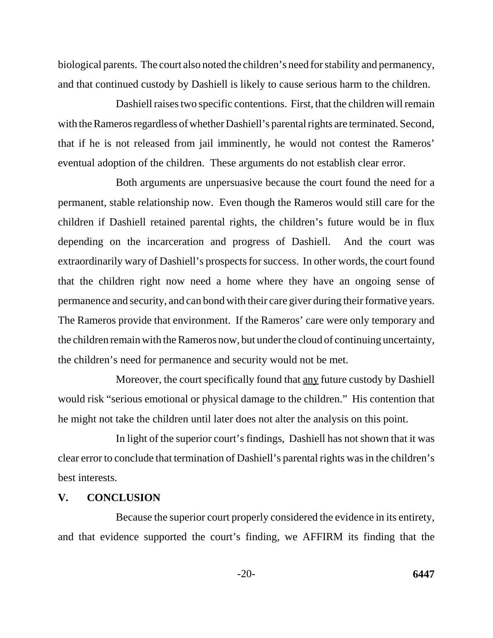biological parents. The court also noted the children's need for stability and permanency, and that continued custody by Dashiell is likely to cause serious harm to the children.

Dashiell raises two specific contentions. First, that the children will remain with the Rameros regardless of whether Dashiell's parental rights are terminated. Second, that if he is not released from jail imminently, he would not contest the Rameros' eventual adoption of the children. These arguments do not establish clear error.

Both arguments are unpersuasive because the court found the need for a permanent, stable relationship now. Even though the Rameros would still care for the children if Dashiell retained parental rights, the children's future would be in flux depending on the incarceration and progress of Dashiell. And the court was extraordinarily wary of Dashiell's prospects for success. In other words, the court found that the children right now need a home where they have an ongoing sense of permanence and security, and can bond with their care giver during their formative years. The Rameros provide that environment. If the Rameros' care were only temporary and the children remain with the Rameros now, but under the cloud of continuing uncertainty, the children's need for permanence and security would not be met.

Moreover, the court specifically found that <u>any</u> future custody by Dashiell would risk "serious emotional or physical damage to the children." His contention that he might not take the children until later does not alter the analysis on this point.

In light of the superior court's findings, Dashiell has not shown that it was clear error to conclude that termination of Dashiell's parental rights was in the children's best interests.

### **V. CONCLUSION**

Because the superior court properly considered the evidence in its entirety, and that evidence supported the court's finding, we AFFIRM its finding that the